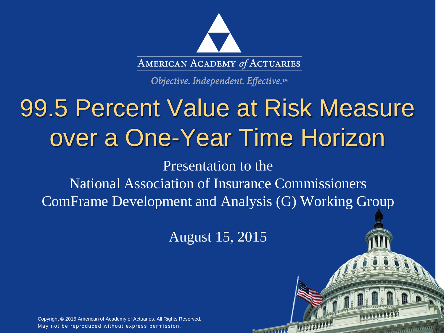

Objective. Independent. Effective.™

# 99.5 Percent Value at Risk Measure over a One-Year Time Horizon

Presentation to the National Association of Insurance Commissioners ComFrame Development and Analysis (G) Working Group

August 15, 2015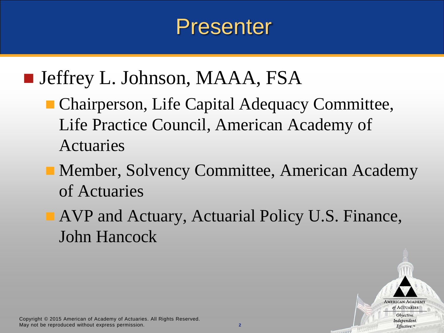## Presenter

#### ■ Jeffrey L. Johnson, MAAA, FSA

- **Chairperson, Life Capital Adequacy Committee,** Life Practice Council, American Academy of Actuaries
- **Member, Solvency Committee, American Academy** of Actuaries
- AVP and Actuary, Actuarial Policy U.S. Finance, John Hancock



**SHARP**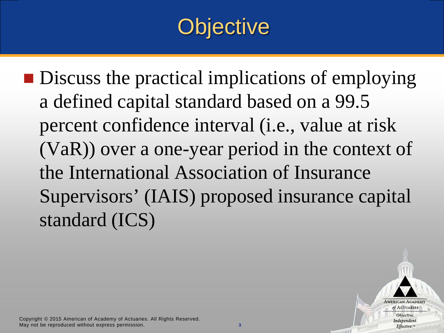## **Objective**

■ Discuss the practical implications of employing a defined capital standard based on a 99.5 percent confidence interval (i.e., value at risk (VaR)) over a one-year period in the context of the International Association of Insurance Supervisors' (IAIS) proposed insurance capital standard (ICS)



**SHARP**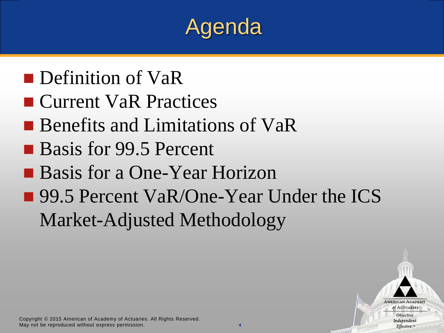## Agenda

- **Definition of VaR**
- Current VaR Practices
- Benefits and Limitations of VaR
- Basis for 99.5 Percent
- Basis for a One-Year Horizon
- 99.5 Percent VaR/One-Year Under the ICS Market-Adjusted Methodology

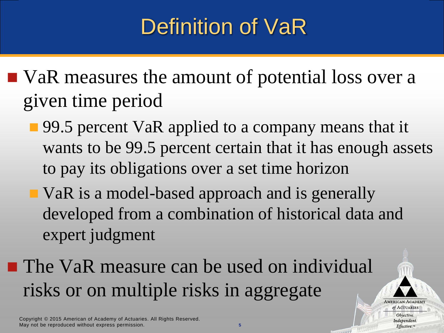## Definition of VaR

- VaR measures the amount of potential loss over a given time period
	- 99.5 percent VaR applied to a company means that it wants to be 99.5 percent certain that it has enough assets to pay its obligations over a set time horizon
	- VaR is a model-based approach and is generally developed from a combination of historical data and expert judgment
- **The VaR measure can be used on individual** risks or on multiple risks in aggregate

**AMERICAN ACADEMY** of ACTUARIES Objective. Independent. Effective.™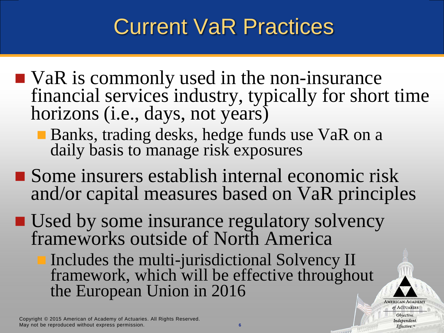## Current VaR Practices

- VaR is commonly used in the non-insurance financial services industry, typically for short time horizons (i.e., days, not years)
	- Banks, trading desks, hedge funds use VaR on a daily basis to manage risk exposures
- Some insurers establish internal economic risk and/or capital measures based on VaR principles
- Used by some insurance regulatory solvency frameworks outside of North America
	- Includes the multi-jurisdictional Solvency II framework, which will be effective throughout the European Union in 2016

Copyright © 2015 American of Academy of Actuaries. All Rights Reserved. May not be reproduced without express permission. **6**

**AMERICAN ACADEMY** of ACTUARIES Objective. Independent. Effective.™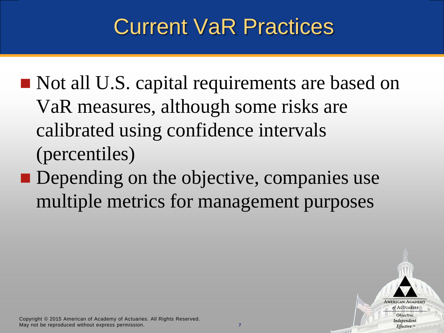## Current VaR Practices

- Not all U.S. capital requirements are based on VaR measures, although some risks are calibrated using confidence intervals (percentiles)
- **Depending on the objective, companies use** multiple metrics for management purposes



**SHARP**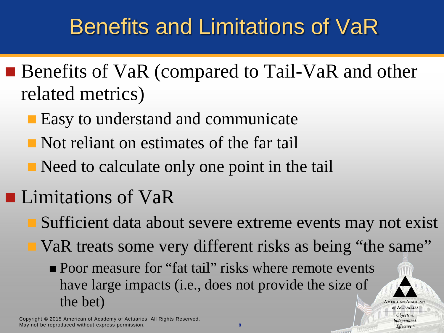## Benefits and Limitations of VaR

- Benefits of VaR (compared to Tail-VaR and other related metrics)
	- Easy to understand and communicate
	- Not reliant on estimates of the far tail
	- Need to calculate only one point in the tail
- **Limitations of VaR** 
	- Sufficient data about severe extreme events may not exist
		- VaR treats some very different risks as being "the same"

**AMERICAN ACADEMY** of ACTUARIES Objective. Independent.  $Effective$ <sup>m</sup>

**• Poor measure for "fat tail" risks where remote events** have large impacts (i.e., does not provide the size of the bet)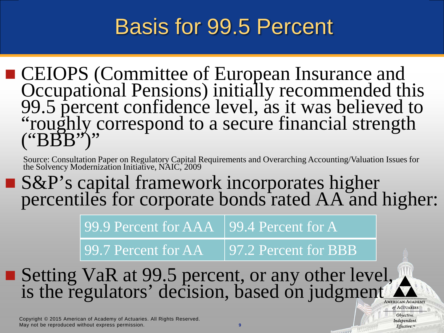#### Basis for 99.5 Percent

**CEIOPS (Committee of European Insurance and** Occupational Pensions) initially recommended this 99.5 percent confidence level, as it was believed to "roughly correspond to a secure financial strength  $(^{\prime\prime}B\overline{B}B^{\prime\prime})^{\prime\prime}$ 

Source: Consultation Paper on Regulatory Capital Requirements and Overarching Accounting/Valuation Issues for the Solvency Modernization Initiative, NAIC, 2009

■ S&P's capital framework incorporates higher percentiles for corporate bonds rated AA and higher:

99.9 Percent for AAA 99.4 Percent for A

99.7 Percent for AA 97.2 Percent for BBB

of ACTUARIES Objective. Independent.  $Effective.$ <sup>m</sup>

**STARRE** 

■ Setting VaR at 99.5 percent, or any other level, is the regulators' decision, based on judgment **AMERICAN ACADEMY**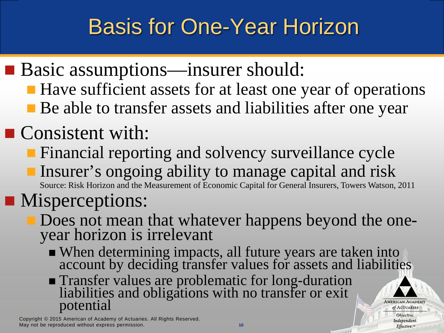## Basis for One-Year Horizon

- Basic assumptions—insurer should:
	- Have sufficient assets for at least one year of operations
	- Be able to transfer assets and liabilities after one year

#### Consistent with:

- **Financial reporting and solvency surveillance cycle**
- **Insurer's ongoing ability to manage capital and risk** Source: Risk Horizon and the Measurement of Economic Capital for General Insurers, Towers Watson, 2011

#### **Misperceptions:**

- Does not mean that whatever happens beyond the one- year horizon is irrelevant
	- When determining impacts, all future years are taken into account by deciding transfer values for assets and liabilities
	- **Transfer values are problematic for long-duration** liabilities and obligations with no transfer or exit potential

Copyright © 2015 American of Academy of Actuaries. All Rights Reserved. May not be reproduced without express permission. **10** **AMERICAN ACADEMY** of ACTUARIES Objective. Independent.  $Effective.$ <sup>m</sup>

**SANDY**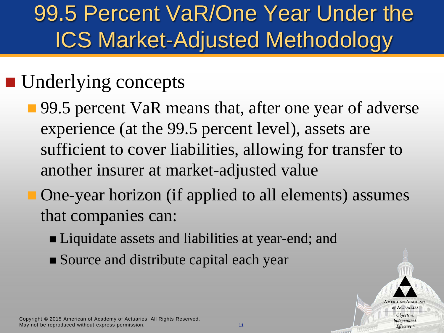## 99.5 Percent VaR/One Year Under the ICS Market-Adjusted Methodology

#### **Underlying concepts**

- 99.5 percent VaR means that, after one year of adverse experience (at the 99.5 percent level), assets are sufficient to cover liabilities, allowing for transfer to another insurer at market-adjusted value
	- One-year horizon (if applied to all elements) assumes that companies can:
		- Liquidate assets and liabilities at year-end; and
		- Source and distribute capital each year